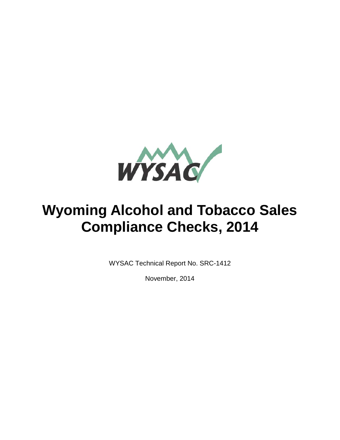

# **Wyoming Alcohol and Tobacco Sales Compliance Checks, 2014**

WYSAC Technical Report No. SRC-1412

November, 2014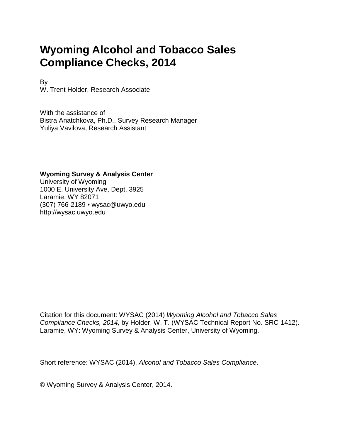## **Wyoming Alcohol and Tobacco Sales Compliance Checks, 2014**

By W. Trent Holder, Research Associate

With the assistance of Bistra Anatchkova, Ph.D., Survey Research Manager Yuliya Vavilova, Research Assistant

#### **Wyoming Survey & Analysis Center**

University of Wyoming 1000 E. University Ave, Dept. 3925 Laramie, WY 82071 (307) 766-2189 • wysac@uwyo.edu http://wysac.uwyo.edu

Citation for this document: WYSAC (2014) *Wyoming Alcohol and Tobacco Sales Compliance Checks, 2014,* by Holder, W. T. (WYSAC Technical Report No. SRC-1412). Laramie, WY: Wyoming Survey & Analysis Center, University of Wyoming.

Short reference: WYSAC (2014), *Alcohol and Tobacco Sales Compliance*.

© Wyoming Survey & Analysis Center, 2014.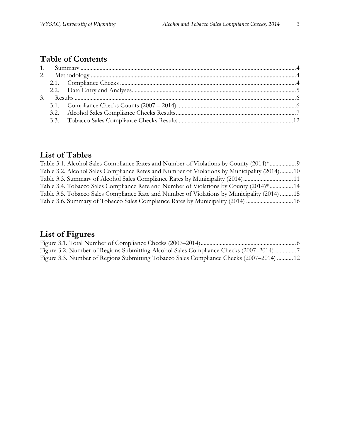## **Table of Contents**

## **List of Tables**

| Table 3.1. Alcohol Sales Compliance Rates and Number of Violations by County (2014)*               |  |
|----------------------------------------------------------------------------------------------------|--|
| Table 3.2. Alcohol Sales Compliance Rates and Number of Violations by Municipality (2014)10        |  |
| Table 3.3. Summary of Alcohol Sales Compliance Rates by Municipality (2014)11                      |  |
| Table 3.4. Tobacco Sales Compliance Rate and Number of Violations by County (2014) <sup>*</sup> 14 |  |
| Table 3.5. Tobacco Sales Compliance Rate and Number of Violations by Municipality (2014) 15        |  |
| Table 3.6. Summary of Tobacco Sales Compliance Rates by Municipality (2014)  16                    |  |

## **List of Figures**

| Figure 3.2. Number of Regions Submitting Alcohol Sales Compliance Checks (2007–2014)     |  |
|------------------------------------------------------------------------------------------|--|
| Figure 3.3. Number of Regions Submitting Tobacco Sales Compliance Checks (2007–2014)  12 |  |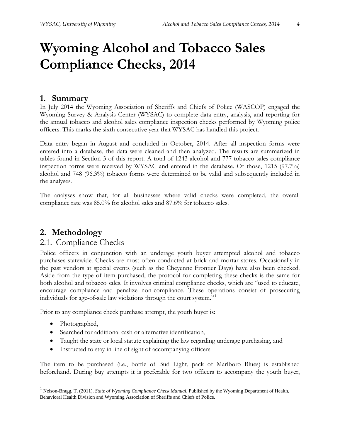**Compliance Checks, 2014**

#### <span id="page-3-0"></span>**1. Summary**

In July 2014 the Wyoming Association of Sheriffs and Chiefs of Police (WASCOP) engaged the Wyoming Survey & Analysis Center (WYSAC) to complete data entry, analysis, and reporting for the annual tobacco and alcohol sales compliance inspection checks performed by Wyoming police officers. This marks the sixth consecutive year that WYSAC has handled this project.

Data entry began in August and concluded in October, 2014. After all inspection forms were entered into a database, the data were cleaned and then analyzed. The results are summarized in tables found in Section 3 of this report. A total of 1243 alcohol and 777 tobacco sales compliance inspection forms were received by WYSAC and entered in the database. Of those, 1215 (97.7%) alcohol and 748 (96.3%) tobacco forms were determined to be valid and subsequently included in the analyses.

The analyses show that, for all businesses where valid checks were completed, the overall compliance rate was 85.0% for alcohol sales and 87.6% for tobacco sales.

#### <span id="page-3-1"></span>**2. Methodology**

#### <span id="page-3-2"></span>2.1. Compliance Checks

Police officers in conjunction with an underage youth buyer attempted alcohol and tobacco purchases statewide. Checks are most often conducted at brick and mortar stores. Occasionally in the past vendors at special events (such as the Cheyenne Frontier Days) have also been checked. Aside from the type of item purchased, the protocol for completing these checks is the same for both alcohol and tobacco sales. It involves criminal compliance checks, which are "used to educate, encourage compliance and penalize non-compliance. These operations consist of prosecuting individuals for age-of-sale law violations through the court system."[1](#page-3-3)

Prior to any compliance check purchase attempt, the youth buyer is:

- Photographed,
- Searched for additional cash or alternative identification,
- Taught the state or local statute explaining the law regarding underage purchasing, and
- Instructed to stay in line of sight of accompanying officers

The item to be purchased (i.e., bottle of Bud Light, pack of Marlboro Blues) is established beforehand. During buy attempts it is preferable for two officers to accompany the youth buyer,

<span id="page-3-3"></span> <sup>1</sup> Nelson-Bragg, T. (2011). *State of Wyoming Compliance Check Manual.* Published by the Wyoming Department of Health, Behavioral Health Division and Wyoming Association of Sheriffs and Chiefs of Police.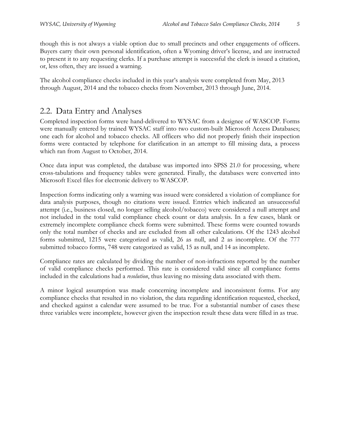though this is not always a viable option due to small precincts and other engagements of officers. Buyers carry their own personal identification, often a Wyoming driver's license, and are instructed to present it to any requesting clerks. If a purchase attempt is successful the clerk is issued a citation, or, less often, they are issued a warning.

The alcohol compliance checks included in this year's analysis were completed from May, 2013 through August, 2014 and the tobacco checks from November, 2013 through June, 2014.

#### <span id="page-4-0"></span>2.2. Data Entry and Analyses

Completed inspection forms were hand-delivered to WYSAC from a designee of WASCOP. Forms were manually entered by trained WYSAC staff into two custom-built Microsoft Access Databases; one each for alcohol and tobacco checks. All officers who did not properly finish their inspection forms were contacted by telephone for clarification in an attempt to fill missing data, a process which ran from August to October, 2014.

Once data input was completed, the database was imported into SPSS 21.0 for processing, where cross-tabulations and frequency tables were generated. Finally, the databases were converted into Microsoft Excel files for electronic delivery to WASCOP.

Inspection forms indicating only a warning was issued were considered a violation of compliance for data analysis purposes, though no citations were issued. Entries which indicated an unsuccessful attempt (i.e., business closed, no longer selling alcohol/tobacco) were considered a null attempt and not included in the total valid compliance check count or data analysis. In a few cases, blank or extremely incomplete compliance check forms were submitted. These forms were counted towards only the total number of checks and are excluded from all other calculations. Of the 1243 alcohol forms submitted, 1215 were categorized as valid, 26 as null, and 2 as incomplete. Of the 777 submitted tobacco forms, 748 were categorized as valid, 15 as null, and 14 as incomplete.

Compliance rates are calculated by dividing the number of non-infractions reported by the number of valid compliance checks performed. This rate is considered valid since all compliance forms included in the calculations had a *resolution*, thus leaving no missing data associated with them.

A minor logical assumption was made concerning incomplete and inconsistent forms. For any compliance checks that resulted in no violation, the data regarding identification requested, checked, and checked against a calendar were assumed to be true. For a substantial number of cases these three variables were incomplete, however given the inspection result these data were filled in as true.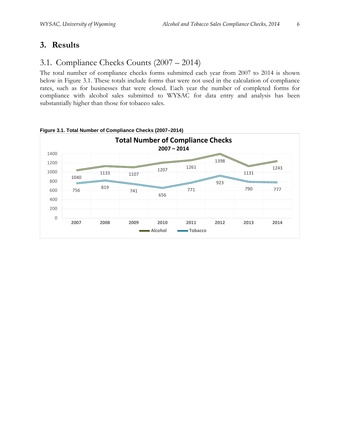## <span id="page-5-0"></span>**3. Results**

## <span id="page-5-1"></span>3.1. Compliance Checks Counts (2007 – 2014)

The total number of compliance checks forms submitted each year from 2007 to 2014 is shown below in Figure 3.1. These totals include forms that were not used in the calculation of compliance rates, such as for businesses that were closed. Each year the number of completed forms for compliance with alcohol sales submitted to WYSAC for data entry and analysis has been substantially higher than those for tobacco sales.



<span id="page-5-2"></span>**Figure 3.1. Total Number of Compliance Checks (2007–2014)**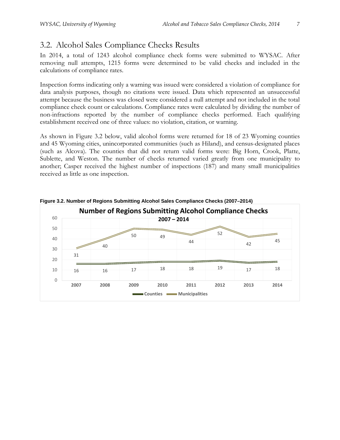## <span id="page-6-0"></span>3.2. Alcohol Sales Compliance Checks Results

In 2014, a total of 1243 alcohol compliance check forms were submitted to WYSAC. After removing null attempts, 1215 forms were determined to be valid checks and included in the calculations of compliance rates.

Inspection forms indicating only a warning was issued were considered a violation of compliance for data analysis purposes, though no citations were issued. Data which represented an unsuccessful attempt because the business was closed were considered a null attempt and not included in the total compliance check count or calculations. Compliance rates were calculated by dividing the number of non-infractions reported by the number of compliance checks performed. Each qualifying establishment received one of three values: no violation, citation, or warning.

As shown in Figure 3.2 below, valid alcohol forms were returned for 18 of 23 Wyoming counties and 45 Wyoming cities, unincorporated communities (such as Hiland), and [census-designated places](http://en.wikipedia.org/wiki/Census-designated_place) (such as Alcova). The counties that did not return valid forms were: Big Horn, Crook, Platte, Sublette, and Weston. The number of checks returned varied greatly from one municipality to another; Casper received the highest number of inspections (187) and many small municipalities received as little as one inspection.



<span id="page-6-1"></span>**Figure 3.2. Number of Regions Submitting Alcohol Sales Compliance Checks (2007–2014)**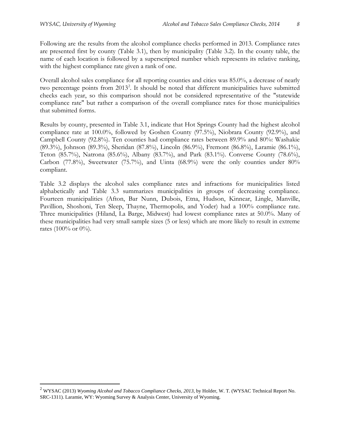Following are the results from the alcohol compliance checks performed in 2013. Compliance rates are presented first by county (Table 3.1), then by municipality (Table 3.2). In the county table, the name of each location is followed by a superscripted number which represents its relative ranking, with the highest compliance rate given a rank of one.

Overall alcohol sales compliance for all reporting counties and cities was 85.0%, a decrease of nearly two percentage points from [2](#page-7-0)013<sup>2</sup>. It should be noted that different municipalities have submitted checks each year, so this comparison should not be considered representative of the "statewide compliance rate" but rather a comparison of the overall compliance rates for those municipalities that submitted forms.

Results by county, presented in Table 3.1, indicate that Hot Springs County had the highest alcohol compliance rate at 100.0%, followed by Goshen County (97.5%), Niobrara County (92.9%), and Campbell County (92.8%). Ten counties had compliance rates between 89.9% and 80%: Washakie (89.3%), Johnson (89.3%), Sheridan (87.8%), Lincoln (86.9%), Fremont (86.8%), Laramie (86.1%), Teton (85.7%), Natrona (85.6%), Albany (83.7%), and Park (83.1%). Converse County (78.6%), Carbon (77.8%), Sweetwater (75.7%), and Uinta (68.9%) were the only counties under  $80\%$ compliant.

Table 3.2 displays the alcohol sales compliance rates and infractions for municipalities listed alphabetically and Table 3.3 summarizes municipalities in groups of decreasing compliance. Fourteen municipalities (Afton, Bar Nunn, Dubois, Etna, Hudson, Kinnear, Lingle, Manville, Pavillion, Shoshoni, Ten Sleep, Thayne, Thermopolis, and Yoder) had a 100% compliance rate. Three municipalities (Hiland, La Barge, Midwest) had lowest compliance rates at 50.0%. Many of these municipalities had very small sample sizes (5 or less) which are more likely to result in extreme rates (100% or 0%).

<span id="page-7-0"></span><sup>&</sup>lt;sup>2</sup> WYSAC (2013) *Wyoming Alcohol and Tobacco Compliance Checks*, 2013, by Holder, W. T. (WYSAC Technical Report No. SRC-1311). Laramie, WY: Wyoming Survey & Analysis Center, University of Wyoming.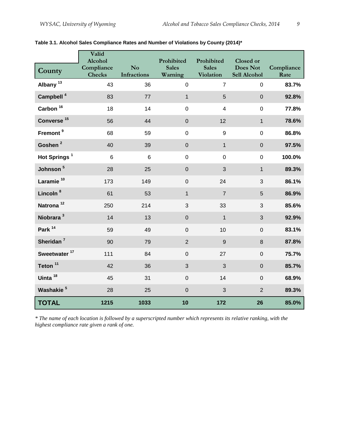|                          | Valid<br>Alcohol            |                                      | Prohibited              | Prohibited                | Closed or                |                    |
|--------------------------|-----------------------------|--------------------------------------|-------------------------|---------------------------|--------------------------|--------------------|
| County                   | Compliance<br><b>Checks</b> | N <sub>o</sub><br><b>Infractions</b> | <b>Sales</b><br>Warning | <b>Sales</b><br>Violation | Does Not<br>Sell Alcohol | Compliance<br>Rate |
| Albany <sup>13</sup>     | 43                          | 36                                   | $\mathbf 0$             | $\overline{7}$            | $\mathbf 0$              | 83.7%              |
| Campbell <sup>4</sup>    | 83                          | 77                                   | $\mathbf{1}$            | 5                         | $\pmb{0}$                | 92.8%              |
| Carbon $16$              | 18                          | 14                                   | $\mathsf 0$             | $\overline{4}$            | $\mathbf 0$              | 77.8%              |
| Converse <sup>15</sup>   | 56                          | 44                                   | $\pmb{0}$               | 12                        | $\mathbf{1}$             | 78.6%              |
| Fremont <sup>9</sup>     | 68                          | 59                                   | $\mathsf 0$             | $\boldsymbol{9}$          | $\pmb{0}$                | 86.8%              |
| Goshen <sup>2</sup>      | 40                          | 39                                   | $\pmb{0}$               | $\mathbf{1}$              | $\pmb{0}$                | 97.5%              |
| Hot Springs <sup>1</sup> | 6                           | $6\phantom{1}$                       | $\boldsymbol{0}$        | $\mathbf 0$               | $\mathbf 0$              | 100.0%             |
| Johnson <sup>5</sup>     | 28                          | 25                                   | $\pmb{0}$               | 3                         | $\mathbf{1}$             | 89.3%              |
| Laramie <sup>10</sup>    | 173                         | 149                                  | $\mathbf 0$             | 24                        | 3                        | 86.1%              |
| Lincoln <sup>8</sup>     | 61                          | 53                                   | $\mathbf{1}$            | $\overline{7}$            | 5                        | 86.9%              |
| Natrona <sup>12</sup>    | 250                         | 214                                  | 3                       | 33                        | 3                        | 85.6%              |
| Niobrara <sup>3</sup>    | 14                          | 13                                   | $\pmb{0}$               | $\mathbf{1}$              | $\mathfrak{S}$           | 92.9%              |
| Park <sup>14</sup>       | 59                          | 49                                   | $\mathbf 0$             | 10                        | $\mathbf 0$              | 83.1%              |
| Sheridan <sup>7</sup>    | 90                          | 79                                   | $\overline{2}$          | 9                         | 8                        | 87.8%              |
| Sweetwater <sup>17</sup> | 111                         | 84                                   | $\mathsf 0$             | 27                        | $\mathsf{O}\xspace$      | 75.7%              |
| Teton <sup>11</sup>      | 42                          | 36                                   | 3                       | 3                         | $\pmb{0}$                | 85.7%              |
| Uinta <sup>18</sup>      | 45                          | 31                                   | $\mathsf{O}\xspace$     | 14                        | $\mathbf 0$              | 68.9%              |
| Washakie <sup>5</sup>    | 28                          | 25                                   | $\mathbf 0$             | 3                         | $\mathbf 2$              | 89.3%              |
| <b>TOTAL</b>             | 1215                        | 1033                                 | 10                      | 172                       | 26                       | 85.0%              |

#### <span id="page-8-0"></span>**Table 3.1. Alcohol Sales Compliance Rates and Number of Violations by County (2014)\***

*\* The name of each location is followed by a superscripted number which represents its relative ranking, with the highest compliance rate given a rank of one.*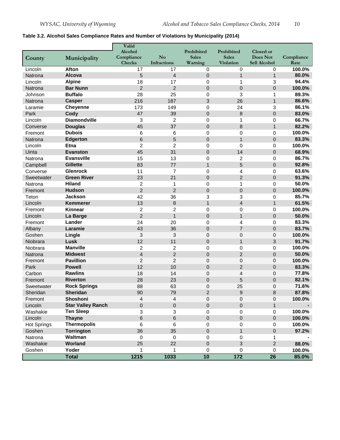#### <span id="page-9-0"></span>**Table 3.2. Alcohol Sales Compliance Rates and Number of Violations by Municipality (2014)**

| Alcohol<br>Prohibited<br>Prohibited<br>Closed or<br>Compliance<br>N <sub>o</sub><br><b>Sales</b><br><b>Sales</b><br>Does Not<br>Compliance<br>Municipality<br>County<br>Checks<br><b>Infractions</b><br>Sell Alcohol<br>Warning<br>Violation<br>Rate<br>Afton<br>17<br>17<br>Lincoln<br>0<br>0<br>0<br>5<br>$\overline{\mathbf{4}}$<br><b>Alcova</b><br>$\pmb{0}$<br>$\mathbf{1}$<br>$\mathbf{1}$<br>Natrona<br>18<br>17<br>3<br>Lincoln<br><b>Alpine</b><br>0<br>1<br>$\overline{2}$<br><b>Bar Nunn</b><br>$\overline{2}$<br>$\overline{0}$<br>$\overline{0}$<br>$\mathbf{0}$<br>Natrona |         |                |    |    |   |   |   |        |
|-------------------------------------------------------------------------------------------------------------------------------------------------------------------------------------------------------------------------------------------------------------------------------------------------------------------------------------------------------------------------------------------------------------------------------------------------------------------------------------------------------------------------------------------------------------------------------------------|---------|----------------|----|----|---|---|---|--------|
|                                                                                                                                                                                                                                                                                                                                                                                                                                                                                                                                                                                           |         |                |    |    |   |   |   |        |
|                                                                                                                                                                                                                                                                                                                                                                                                                                                                                                                                                                                           |         |                |    |    |   |   |   |        |
|                                                                                                                                                                                                                                                                                                                                                                                                                                                                                                                                                                                           |         |                |    |    |   |   |   | 100.0% |
|                                                                                                                                                                                                                                                                                                                                                                                                                                                                                                                                                                                           |         |                |    |    |   |   |   | 80.0%  |
|                                                                                                                                                                                                                                                                                                                                                                                                                                                                                                                                                                                           |         |                |    |    |   |   |   | 94.4%  |
|                                                                                                                                                                                                                                                                                                                                                                                                                                                                                                                                                                                           |         |                |    |    |   |   |   | 100.0% |
|                                                                                                                                                                                                                                                                                                                                                                                                                                                                                                                                                                                           | Johnson | <b>Buffalo</b> | 28 | 25 | 0 | 3 | 1 | 89.3%  |
| 3<br>26<br>Natrona<br><b>Casper</b><br>216<br>187<br>$\mathbf{1}$                                                                                                                                                                                                                                                                                                                                                                                                                                                                                                                         |         |                |    |    |   |   |   | 86.6%  |
| <b>Cheyenne</b><br>173<br>149<br>0<br>24<br>3<br>Laramie                                                                                                                                                                                                                                                                                                                                                                                                                                                                                                                                  |         |                |    |    |   |   |   | 86.1%  |
| 8<br>$\mathbf 0$<br>Park<br>Cody<br>47<br>39<br>$\pmb{0}$                                                                                                                                                                                                                                                                                                                                                                                                                                                                                                                                 |         |                |    |    |   |   |   | 83.0%  |
| $\overline{c}$<br><b>Diamondville</b><br>3<br>$\pmb{0}$<br>1<br>$\mathbf 0$<br>Lincoln                                                                                                                                                                                                                                                                                                                                                                                                                                                                                                    |         |                |    |    |   |   |   | 66.7%  |
| 37<br>8<br><b>Douglas</b><br>45<br>$\pmb{0}$<br>$\mathbf{1}$<br>Converse                                                                                                                                                                                                                                                                                                                                                                                                                                                                                                                  |         |                |    |    |   |   |   | 82.2%  |
| <b>Dubois</b><br>0<br>6<br>6<br>0<br>0<br>Fremont                                                                                                                                                                                                                                                                                                                                                                                                                                                                                                                                         |         |                |    |    |   |   |   | 100.0% |
| 5<br>6<br>$\pmb{0}$<br>$\mathbf{1}$<br>$\overline{0}$<br><b>Edgerton</b><br>Natrona                                                                                                                                                                                                                                                                                                                                                                                                                                                                                                       |         |                |    |    |   |   |   | 83.3%  |
| $\overline{2}$<br>$\overline{2}$<br>0<br><b>Etna</b><br>0<br>$\mathbf 0$<br>Lincoln                                                                                                                                                                                                                                                                                                                                                                                                                                                                                                       |         |                |    |    |   |   |   | 100.0% |
| 45<br>31<br>14<br>$\pmb{0}$<br>$\mathbf 0$<br>Uinta<br><b>Evanston</b>                                                                                                                                                                                                                                                                                                                                                                                                                                                                                                                    |         |                |    |    |   |   |   | 68.9%  |
| <b>Evansville</b><br>15<br>13<br>0<br>2<br>$\mathbf 0$<br>Natrona                                                                                                                                                                                                                                                                                                                                                                                                                                                                                                                         |         |                |    |    |   |   |   | 86.7%  |
| 5<br><b>Gillette</b><br>83<br>77<br>$\mathbf{1}$<br>$\mathbf 0$<br>Campbell                                                                                                                                                                                                                                                                                                                                                                                                                                                                                                               |         |                |    |    |   |   |   | 92.8%  |
| <b>Glenrock</b><br>11<br>$\overline{7}$<br>0<br>4<br>0<br>Converse                                                                                                                                                                                                                                                                                                                                                                                                                                                                                                                        |         |                |    |    |   |   |   | 63.6%  |
| $\overline{2}$<br><b>Green River</b><br>23<br>21<br>$\pmb{0}$<br>$\overline{0}$<br>Sweetwater                                                                                                                                                                                                                                                                                                                                                                                                                                                                                             |         |                |    |    |   |   |   | 91.3%  |
| <b>Hiland</b><br>$\overline{2}$<br>$\mathbf 0$<br>1<br>$\mathbf 0$<br>Natrona<br>1                                                                                                                                                                                                                                                                                                                                                                                                                                                                                                        |         |                |    |    |   |   |   | 50.0%  |
| $\overline{2}$<br>$\overline{2}$<br>$\mathbf 0$<br>$\mathbf 0$<br><b>Hudson</b><br>$\mathbf{0}$<br>Fremont                                                                                                                                                                                                                                                                                                                                                                                                                                                                                |         |                |    |    |   |   |   | 100.0% |
| 42<br>3<br>3<br>36<br>$\mathbf 0$<br>Teton<br>Jackson                                                                                                                                                                                                                                                                                                                                                                                                                                                                                                                                     |         |                |    |    |   |   |   | 85.7%  |
| $\overline{4}$<br>$\bf 8$<br>$\mathbf{1}$<br>13<br>$\mathbf{1}$<br>Lincoln<br><b>Kemmerer</b>                                                                                                                                                                                                                                                                                                                                                                                                                                                                                             |         |                |    |    |   |   |   | 61.5%  |
| <b>Kinnear</b><br>$\overline{c}$<br>$\overline{c}$<br>0<br>0<br>0<br>Fremont                                                                                                                                                                                                                                                                                                                                                                                                                                                                                                              |         |                |    |    |   |   |   | 100.0% |
| $\overline{2}$<br>$\mathbf{1}$<br>$\pmb{0}$<br>$\mathbf{1}$<br>$\overline{0}$<br>Lincoln<br>La Barge                                                                                                                                                                                                                                                                                                                                                                                                                                                                                      |         |                |    |    |   |   |   | 50.0%  |
| Lander<br>24<br>20<br>0<br>4<br>$\mathbf 0$<br>Fremont                                                                                                                                                                                                                                                                                                                                                                                                                                                                                                                                    |         |                |    |    |   |   |   | 83.3%  |
| $\mathbf 0$<br>$\overline{7}$<br>$\mathbf 0$<br>Laramie<br>43<br>36<br>Albany                                                                                                                                                                                                                                                                                                                                                                                                                                                                                                             |         |                |    |    |   |   |   | 83.7%  |
| 3<br>3<br>Goshen<br>Lingle<br>0<br>0<br>$\mathbf 0$                                                                                                                                                                                                                                                                                                                                                                                                                                                                                                                                       |         |                |    |    |   |   |   | 100.0% |
| 3<br>Lusk<br>12<br>11<br>$\pmb{0}$<br>$\mathbf{1}$<br>Niobrara                                                                                                                                                                                                                                                                                                                                                                                                                                                                                                                            |         |                |    |    |   |   |   | 91.7%  |
| <b>Manville</b><br>$\overline{c}$<br>$\overline{c}$<br>0<br>Niobrara<br>0<br>0                                                                                                                                                                                                                                                                                                                                                                                                                                                                                                            |         |                |    |    |   |   |   | 100.0% |
| $\overline{2}$<br>$\overline{2}$<br>$\overline{4}$<br>$\overline{0}$<br>$\overline{0}$<br>Natrona<br><b>Midwest</b>                                                                                                                                                                                                                                                                                                                                                                                                                                                                       |         |                |    |    |   |   |   | 50.0%  |
| <b>Pavillion</b><br>$\overline{2}$<br>$\overline{2}$<br>$\mathbf 0$<br>Fremont<br>$\mathbf 0$<br>$\mathbf{0}$                                                                                                                                                                                                                                                                                                                                                                                                                                                                             |         |                |    |    |   |   |   | 100.0% |
| <b>Powell</b><br>12<br>$\overline{c}$<br>Park<br>10<br>$\pmb{0}$<br>$\overline{0}$                                                                                                                                                                                                                                                                                                                                                                                                                                                                                                        |         |                |    |    |   |   |   | 83.3%  |
| 4<br><b>Rawlins</b><br>18<br>14<br>0<br>Carbon<br>$\mathbf 0$                                                                                                                                                                                                                                                                                                                                                                                                                                                                                                                             |         |                |    |    |   |   |   | 77.8%  |
| 5<br><b>Riverton</b><br>28<br>23<br>$\mathbf 0$<br>$\mathbf{0}$<br>Fremont                                                                                                                                                                                                                                                                                                                                                                                                                                                                                                                |         |                |    |    |   |   |   | 82.1%  |
| <b>Rock Springs</b><br>88<br>63<br>25<br>0<br>0<br>Sweetwater                                                                                                                                                                                                                                                                                                                                                                                                                                                                                                                             |         |                |    |    |   |   |   | 71.6%  |
| 79<br>Sheridan<br>90<br>$\overline{c}$<br>9<br>8<br>Sheridan                                                                                                                                                                                                                                                                                                                                                                                                                                                                                                                              |         |                |    |    |   |   |   | 87.8%  |
| Shoshoni<br>4<br>$\overline{4}$<br>0<br>0<br>$\mathbf 0$<br>Fremont                                                                                                                                                                                                                                                                                                                                                                                                                                                                                                                       |         |                |    |    |   |   |   | 100.0% |
| <b>Star Valley Ranch</b><br>$\pmb{0}$<br>$\pmb{0}$<br>$\pmb{0}$<br>$\pmb{0}$<br>Lincoln<br>$\mathbf{1}$                                                                                                                                                                                                                                                                                                                                                                                                                                                                                   |         |                |    |    |   |   |   |        |
| <b>Ten Sleep</b><br>3<br>Washakie<br>3<br>0<br>0<br>$\mathbf 0$                                                                                                                                                                                                                                                                                                                                                                                                                                                                                                                           |         |                |    |    |   |   |   | 100.0% |
| <b>Thayne</b><br>6<br>$\,6$<br>$\pmb{0}$<br>$\pmb{0}$<br>Lincoln<br>$\mathbf 0$                                                                                                                                                                                                                                                                                                                                                                                                                                                                                                           |         |                |    |    |   |   |   | 100.0% |
| <b>Thermopolis</b><br><b>Hot Springs</b><br>6<br>6<br>$\pmb{0}$<br>0<br>$\mathbf 0$                                                                                                                                                                                                                                                                                                                                                                                                                                                                                                       |         |                |    |    |   |   |   | 100.0% |
| Goshen<br><b>Torrington</b><br>36<br>35<br>$\mathbf 0$<br>$\mathbf{1}$<br>$\mathbf{0}$                                                                                                                                                                                                                                                                                                                                                                                                                                                                                                    |         |                |    |    |   |   |   | 97.2%  |
| Waltman<br>$\pmb{0}$<br>Natrona<br>$\mathbf 0$<br>$\pmb{0}$<br>0<br>1                                                                                                                                                                                                                                                                                                                                                                                                                                                                                                                     |         |                |    |    |   |   |   |        |
| Worland<br>Washakie<br>25<br>22<br>$\mathsf 0$<br>3<br>$\overline{2}$                                                                                                                                                                                                                                                                                                                                                                                                                                                                                                                     |         |                |    |    |   |   |   | 88.0%  |
| Yoder<br>$\pmb{0}$<br>Goshen<br>1<br>0<br>$\pmb{0}$<br>1                                                                                                                                                                                                                                                                                                                                                                                                                                                                                                                                  |         |                |    |    |   |   |   | 100.0% |
| 1215<br>10<br>$\overline{172}$<br><b>Total</b><br>1033<br>26                                                                                                                                                                                                                                                                                                                                                                                                                                                                                                                              |         |                |    |    |   |   |   | 85.0%  |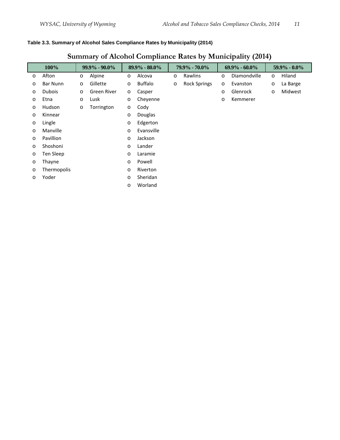#### <span id="page-10-0"></span>**Table 3.3. Summary of Alcohol Sales Compliance Rates by Municipality (2014)**

## **Summary of Alcohol Compliance Rates by Municipality (2014)**

| 100%              |                  |         | $99.9\% - 90.0\%$ |         | 89.9% - 80.0% |         | $79.9\% - 70.0\%$   |         | $69.9\% - 60.0\%$ |         | $59.9\% - 0.0\%$ |
|-------------------|------------------|---------|-------------------|---------|---------------|---------|---------------------|---------|-------------------|---------|------------------|
| $\circ$           | Afton            | $\circ$ | Alpine            | $\circ$ | Alcova        | $\circ$ | Rawlins             | $\circ$ | Diamondville      | $\circ$ | Hiland           |
| $\circ$           | <b>Bar Nunn</b>  | $\circ$ | Gillette          | $\circ$ | Buffalo       | $\circ$ | <b>Rock Springs</b> | $\circ$ | Evanston          | $\circ$ | La Barge         |
| $\circ$           | <b>Dubois</b>    | $\circ$ | Green River       | $\circ$ | Casper        |         |                     | $\circ$ | Glenrock          | $\circ$ | Midwest          |
| $\circ$           | Etna             | $\circ$ | Lusk              | $\circ$ | Cheyenne      |         |                     | O       | Kemmerer          |         |                  |
| $\circ$           | Hudson           | $\circ$ | Torrington        | $\circ$ | Cody          |         |                     |         |                   |         |                  |
| $\circ$           | Kinnear          |         |                   | $\circ$ | Douglas       |         |                     |         |                   |         |                  |
| $\circ$           | Lingle           |         |                   | $\circ$ | Edgerton      |         |                     |         |                   |         |                  |
| $\circ$           | Manville         |         |                   | $\circ$ | Evansville    |         |                     |         |                   |         |                  |
| $\circ$           | <b>Pavillion</b> |         |                   | $\circ$ | Jackson       |         |                     |         |                   |         |                  |
| $\circ$           | Shoshoni         |         |                   | $\circ$ | Lander        |         |                     |         |                   |         |                  |
| $\circ$           | Ten Sleep        |         |                   | $\circ$ | Laramie       |         |                     |         |                   |         |                  |
| Thayne<br>$\circ$ |                  |         |                   | $\circ$ | Powell        |         |                     |         |                   |         |                  |
| $\circ$           | Thermopolis      |         |                   | $\circ$ | Riverton      |         |                     |         |                   |         |                  |
| Yoder<br>$\circ$  |                  |         |                   | $\circ$ | Sheridan      |         |                     |         |                   |         |                  |
|                   |                  |         |                   | $\circ$ | Worland       |         |                     |         |                   |         |                  |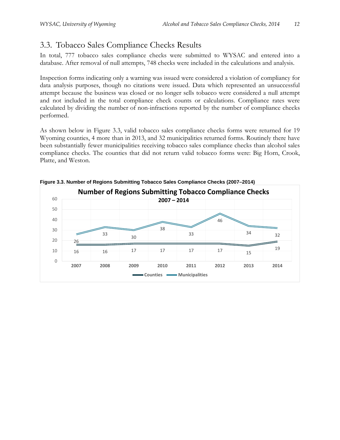## <span id="page-11-0"></span>3.3. Tobacco Sales Compliance Checks Results

In total, 777 tobacco sales compliance checks were submitted to WYSAC and entered into a database. After removal of null attempts, 748 checks were included in the calculations and analysis.

Inspection forms indicating only a warning was issued were considered a violation of compliancy for data analysis purposes, though no citations were issued. Data which represented an unsuccessful attempt because the business was closed or no longer sells tobacco were considered a null attempt and not included in the total compliance check counts or calculations. Compliance rates were calculated by dividing the number of non-infractions reported by the number of compliance checks performed.

As shown below in Figure 3.3, valid tobacco sales compliance checks forms were returned for 19 Wyoming counties, 4 more than in 2013, and 32 municipalities returned forms. Routinely there have been substantially fewer municipalities receiving tobacco sales compliance checks than alcohol sales compliance checks. The counties that did not return valid tobacco forms were: Big Horn, Crook, Platte, and Weston.



<span id="page-11-1"></span>**Figure 3.3. Number of Regions Submitting Tobacco Sales Compliance Checks (2007–2014)**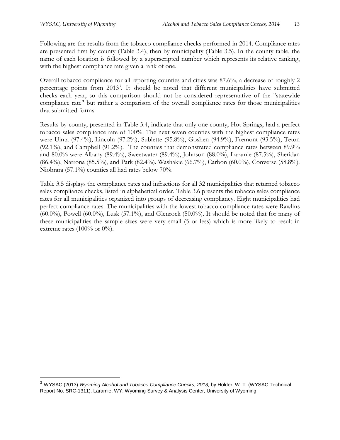$\overline{a}$ 

Following are the results from the tobacco compliance checks performed in 2014. Compliance rates are presented first by county (Table 3.4), then by municipality (Table 3.5). In the county table, the name of each location is followed by a superscripted number which represents its relative ranking, with the highest compliance rate given a rank of one.

Overall tobacco compliance for all reporting counties and cities was 87.6%, a decrease of roughly 2 percentage points from 201[3](#page-12-0)<sup>3</sup>. It should be noted that different municipalities have submitted checks each year, so this comparison should not be considered representative of the "statewide compliance rate" but rather a comparison of the overall compliance rates for those municipalities that submitted forms.

Results by county, presented in Table 3.4, indicate that only one county, Hot Springs, had a perfect tobacco sales compliance rate of 100%. The next seven counties with the highest compliance rates were Uinta (97.4%), Lincoln (97.2%), Sublette (95.8%), Goshen (94.9%), Fremont (93.5%), Teton (92.1%), and Campbell (91.2%). The counties that demonstrated compliance rates between 89.9% and 80.0% were Albany (89.4%), Sweetwater (89.4%), Johnson (88.0%), Laramie (87.5%), Sheridan (86.4%), Natrona (85.5%), and Park (82.4%). Washakie (66.7%), Carbon (60.0%), Converse (58.8%). Niobrara (57.1%) counties all had rates below 70%.

Table 3.5 displays the compliance rates and infractions for all 32 municipalities that returned tobacco sales compliance checks, listed in alphabetical order. Table 3.6 presents the tobacco sales compliance rates for all municipalities organized into groups of decreasing compliancy. Eight municipalities had perfect compliance rates. The municipalities with the lowest tobacco compliance rates were Rawlins (60.0%), Powell (60.0%), Lusk (57.1%), and Glenrock (50.0%). It should be noted that for many of these municipalities the sample sizes were very small (5 or less) which is more likely to result in extreme rates (100% or  $0\%$ ).

<span id="page-12-0"></span><sup>3</sup> WYSAC (2013) *Wyoming Alcohol and Tobacco Compliance Checks, 2013,* by Holder, W. T. (WYSAC Technical Report No. SRC-1311). Laramie, WY: Wyoming Survey & Analysis Center, University of Wyoming.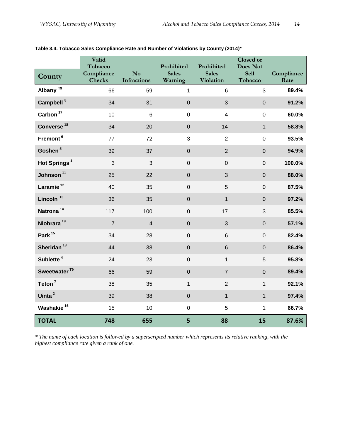|                          | Valid<br>Tobacco            |                                              | Prohibited              | Prohibited                       | <b>Closed or</b><br><b>Does Not</b> |                    |
|--------------------------|-----------------------------|----------------------------------------------|-------------------------|----------------------------------|-------------------------------------|--------------------|
| County                   | Compliance<br><b>Checks</b> | $\mathbf{N}\mathbf{o}$<br><b>Infractions</b> | <b>Sales</b><br>Warning | <b>Sales</b><br><b>Violation</b> | <b>Sell</b><br>Tobacco              | Compliance<br>Rate |
| Albany <sup>T9</sup>     | 66                          | 59                                           | $\mathbf{1}$            | $6\phantom{1}$                   | 3                                   | 89.4%              |
| Campbell <sup>8</sup>    | 34                          | 31                                           | $\overline{0}$          | 3                                | $\mathbf 0$                         | 91.2%              |
| Carbon <sup>17</sup>     | 10                          | $6\phantom{a}$                               | $\boldsymbol{0}$        | $\overline{4}$                   | $\mathbf 0$                         | 60.0%              |
| Converse <sup>18</sup>   | 34                          | 20                                           | $\boldsymbol{0}$        | 14                               | $\mathbf{1}$                        | 58.8%              |
| Fremont <sup>6</sup>     | 77                          | 72                                           | 3                       | $\overline{2}$                   | $\mathbf 0$                         | 93.5%              |
| Goshen <sup>5</sup>      | 39                          | 37                                           | $\overline{0}$          | $\overline{2}$                   | $\mathbf 0$                         | 94.9%              |
| Hot Springs <sup>1</sup> | 3                           | 3                                            | $\mathbf 0$             | $\pmb{0}$                        | $\overline{0}$                      | 100.0%             |
| Johnson <sup>11</sup>    | 25                          | 22                                           | $\boldsymbol{0}$        | 3                                | $\mathbf 0$                         | 88.0%              |
| Laramie <sup>12</sup>    | 40                          | 35                                           | $\mathbf 0$             | 5                                | $\mathbf 0$                         | 87.5%              |
| Lincoln <sup>T3</sup>    | 36                          | 35                                           | $\mathbf 0$             | $\mathbf{1}$                     | $\mathbf 0$                         | 97.2%              |
| Natrona <sup>14</sup>    | 117                         | 100                                          | $\mathbf 0$             | 17                               | 3                                   | 85.5%              |
| Niobrara <sup>19</sup>   | $\overline{7}$              | $\overline{4}$                               | $\boldsymbol{0}$        | 3                                | $\mathbf 0$                         | 57.1%              |
| Park <sup>15</sup>       | 34                          | 28                                           | $\mathbf 0$             | $\,6$                            | $\mathbf 0$                         | 82.4%              |
| Sheridan <sup>13</sup>   | 44                          | 38                                           | $\boldsymbol{0}$        | $6\phantom{1}$                   | $\overline{0}$                      | 86.4%              |
| Sublette <sup>4</sup>    | 24                          | 23                                           | $\mathbf 0$             | $\mathbf{1}$                     | 5                                   | 95.8%              |
| Sweetwater <sup>T9</sup> | 66                          | 59                                           | $\mathbf 0$             | $\overline{7}$                   | $\pmb{0}$                           | 89.4%              |
| Teton <sup>7</sup>       | 38                          | 35                                           | $\mathbf{1}$            | $\overline{2}$                   | $\mathbf{1}$                        | 92.1%              |
| Uinta <sup>2</sup>       | 39                          | 38                                           | $\boldsymbol{0}$        | $\mathbf{1}$                     | $\mathbf{1}$                        | 97.4%              |
| Washakie <sup>16</sup>   | 15                          | 10                                           | $\mathbf 0$             | 5                                | $\mathbf{1}$                        | 66.7%              |
| <b>TOTAL</b>             | 748                         | 655                                          | 5                       | 88                               | 15                                  | 87.6%              |

<span id="page-13-0"></span>**Table 3.4. Tobacco Sales Compliance Rate and Number of Violations by County (2014)\***

*\* The name of each location is followed by a superscripted number which represents its relative ranking, with the highest compliance rate given a rank of one.*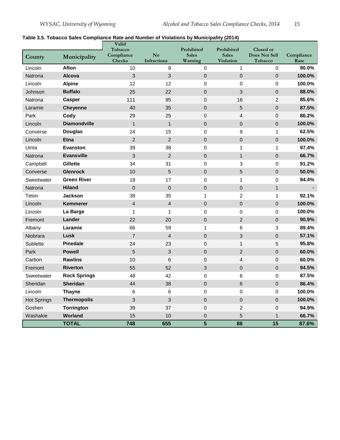#### <span id="page-14-0"></span>**Table 3.5. Tobacco Sales Compliance Rate and Number of Violations by Municipality (2014)**

|                    |                     | Valid<br>Tobacco            |                          | Prohibited              | Prohibited                       | Closed or                |                    |
|--------------------|---------------------|-----------------------------|--------------------------|-------------------------|----------------------------------|--------------------------|--------------------|
| County             | Municipality        | Compliance<br><b>Checks</b> | No<br><b>Infractions</b> | <b>Sales</b><br>Warning | <b>Sales</b><br><b>Violation</b> | Does Not Sell<br>Tobacco | Compliance<br>Rate |
| Lincoln            | Afton               | 10                          | 9                        | 0                       | 1                                | 0                        | 90.0%              |
| Natrona            | <b>Alcova</b>       | 3                           | 3                        | $\mathsf 0$             | $\mathbf 0$                      | $\mathbf 0$              | 100.0%             |
| Lincoln            | <b>Alpine</b>       | 12                          | 12                       | 0                       | $\pmb{0}$                        | $\mathbf 0$              | 100.0%             |
| Johnson            | <b>Buffalo</b>      | 25                          | 22                       | $\mathbf 0$             | 3                                | $\overline{0}$           | 88.0%              |
| Natrona            | <b>Casper</b>       | 111                         | 95                       | 0                       | 16                               | $\overline{2}$           | 85.6%              |
| Laramie            | <b>Cheyenne</b>     | 40                          | 35                       | $\mathbf 0$             | 5                                | $\boldsymbol{0}$         | 87.5%              |
| Park               | Cody                | 29                          | 25                       | $\mathbf 0$             | $\overline{4}$                   | $\overline{0}$           | 86.2%              |
| Lincoln            | <b>Diamondville</b> | $\mathbf{1}$                | $\mathbf{1}$             | $\overline{0}$          | $\overline{0}$                   | $\overline{0}$           | 100.0%             |
| Converse           | <b>Douglas</b>      | 24                          | 15                       | 0                       | 9                                | $\mathbf{1}$             | 62.5%              |
| Lincoln            | <b>Etna</b>         | $\overline{2}$              | $\overline{2}$           | $\mathbf 0$             | $\mathbf 0$                      | $\mathbf 0$              | 100.0%             |
| Uinta              | <b>Evanston</b>     | 39                          | 38                       | 0                       | 1                                | $\mathbf{1}$             | 97.4%              |
| Natrona            | <b>Evansville</b>   | $\mathbf{3}$                | $\overline{2}$           | $\overline{0}$          | $\mathbf{1}$                     | $\overline{0}$           | 66.7%              |
| Campbell           | Gillette            | 34                          | 31                       | 0                       | 3                                | $\mathbf 0$              | 91.2%              |
| Converse           | <b>Glenrock</b>     | 10                          | 5                        | $\mathsf 0$             | 5                                | $\mathsf 0$              | 50.0%              |
| Sweetwater         | <b>Green River</b>  | 18                          | 17                       | 0                       | $\mathbf{1}$                     | $\mathbf 0$              | 94.4%              |
| Natrona            | <b>Hiland</b>       | $\pmb{0}$                   | $\mathbf 0$              | $\mathsf 0$             | $\mathbf 0$                      | $\mathbf{1}$             |                    |
| Teton              | <b>Jackson</b>      | 38                          | 35                       | $\mathbf{1}$            | $\overline{2}$                   | $\mathbf{1}$             | 92.1%              |
| Lincoln            | <b>Kemmerer</b>     | $\overline{\mathbf{4}}$     | $\overline{\mathcal{L}}$ | $\mathsf 0$             | $\boldsymbol{0}$                 | $\mathsf 0$              | 100.0%             |
| Lincoln            | La Barge            | $\mathbf{1}$                | $\mathbf{1}$             | 0                       | $\mathbf 0$                      | $\mathbf 0$              | 100.0%             |
| Fremont            | Lander              | 22                          | 20                       | $\mathbf 0$             | $\overline{2}$                   | $\mathbf 0$              | 90.9%              |
| Albany             | Laramie             | 66                          | 59                       | $\mathbf{1}$            | 6                                | 3                        | 89.4%              |
| Niobrara           | Lusk                | $\overline{7}$              | $\overline{4}$           | $\mathsf 0$             | 3                                | $\mathbf 0$              | 57.1%              |
| Sublette           | <b>Pinedale</b>     | 24                          | 23                       | $\mathbf 0$             | $\mathbf{1}$                     | 5                        | 95.8%              |
| Park               | <b>Powell</b>       | 5                           | 3                        | 0                       | $\overline{2}$                   | $\boldsymbol{0}$         | 60.0%              |
| Carbon             | <b>Rawlins</b>      | 10                          | 6                        | $\mathsf 0$             | $\overline{4}$                   | $\mathbf 0$              | 60.0%              |
| Fremont            | <b>Riverton</b>     | 55                          | 52                       | 3                       | $\Omega$                         | $\Omega$                 | 94.5%              |
| Sweetwater         | <b>Rock Springs</b> | 48                          | 42                       | 0                       | 6                                | $\mathbf 0$              | 87.5%              |
| Sheridan           | <b>Sheridan</b>     | 44                          | 38                       | 0                       | $6\phantom{1}$                   | $\overline{0}$           | 86.4%              |
| Lincoln            | <b>Thayne</b>       | 6                           | 6                        | 0                       | $\mathbf 0$                      | 0                        | 100.0%             |
| <b>Hot Springs</b> | <b>Thermopolis</b>  | $\mathbf{3}$                | 3                        | $\mathbf 0$             | $\mathbf 0$                      | $\mathsf 0$              | 100.0%             |
| Goshen             | Torrington          | 39                          | 37                       | $\mathbf 0$             | $\overline{c}$                   | $\overline{0}$           | 94.9%              |
| Washakie           | <b>Worland</b>      | 15                          | 10                       | $\mathbf 0$             | 5                                | $\overline{1}$           | 66.7%              |
|                    | <b>TOTAL</b>        | 748                         | 655                      | 5                       | 88                               | 15                       | 87.6%              |